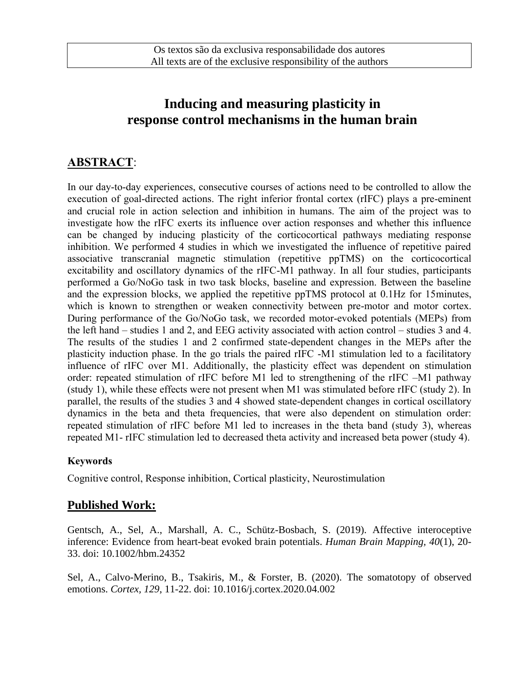# **Inducing and measuring plasticity in response control mechanisms in the human brain**

## **ABSTRACT**:

In our day-to-day experiences, consecutive courses of actions need to be controlled to allow the execution of goal-directed actions. The right inferior frontal cortex (rIFC) plays a pre-eminent and crucial role in action selection and inhibition in humans. The aim of the project was to investigate how the rIFC exerts its influence over action responses and whether this influence can be changed by inducing plasticity of the corticocortical pathways mediating response inhibition. We performed 4 studies in which we investigated the influence of repetitive paired associative transcranial magnetic stimulation (repetitive ppTMS) on the corticocortical excitability and oscillatory dynamics of the rIFC-M1 pathway. In all four studies, participants performed a Go/NoGo task in two task blocks, baseline and expression. Between the baseline and the expression blocks, we applied the repetitive ppTMS protocol at 0.1Hz for 15minutes, which is known to strengthen or weaken connectivity between pre-motor and motor cortex. During performance of the Go/NoGo task, we recorded motor-evoked potentials (MEPs) from the left hand – studies 1 and 2, and EEG activity associated with action control – studies 3 and 4. The results of the studies 1 and 2 confirmed state-dependent changes in the MEPs after the plasticity induction phase. In the go trials the paired rIFC -M1 stimulation led to a facilitatory influence of rIFC over M1. Additionally, the plasticity effect was dependent on stimulation order: repeated stimulation of rIFC before M1 led to strengthening of the rIFC –M1 pathway (study 1), while these effects were not present when M1 was stimulated before rIFC (study 2). In parallel, the results of the studies 3 and 4 showed state-dependent changes in cortical oscillatory dynamics in the beta and theta frequencies, that were also dependent on stimulation order: repeated stimulation of rIFC before M1 led to increases in the theta band (study 3), whereas repeated M1- rIFC stimulation led to decreased theta activity and increased beta power (study 4).

#### **Keywords**

Cognitive control, Response inhibition, Cortical plasticity, Neurostimulation

### **Published Work:**

Gentsch, A., Sel, A., Marshall, A. C., Schütz-Bosbach, S. (2019). Affective interoceptive inference: Evidence from heart-beat evoked brain potentials. *Human Brain Mapping, 40*(1), 20- 33. doi: 10.1002/hbm.24352

Sel, A., Calvo-Merino, B., Tsakiris, M., & Forster, B. (2020). The somatotopy of observed emotions. *Cortex, 129*, 11-22. doi: 10.1016/j.cortex.2020.04.002